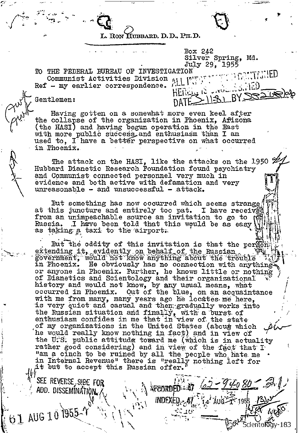

DATE $\geq$ 

Box  $242$ 

Silver Spring, Md.

RON HUBBARD, D.D., PH.D.

July 29, 1955 TO THE FEDERAL BUREAU OF INVESTIGATION Communist Activities Division  $\mathfrak{N} \sqcup \mathbb{N}$ Ref - my earlier correspondence. HERELS 12

Gentlemen:

Having gotten on a somewhat more even keel after the collapse of the organization in Phoenix, Afizona (the HASI) and having begun operation in the East with more public success and enthusiasm than I am used to, I have a better perspective on what occurred in Phoenix.

The attack on the HASI, like the attacks on the 1950  $\mathscr{B}$ . Hubbard Dianetic Research Foundation found psychiatry and Communist connected personnel very much in evidence and both active with defamation and very unreasonable - and unsuccessful - attack.

But something has now occurred which seems strange at this juncture and entirely too pat. I have received from an unimpeachable source an invitation to go to Russia. I have been told that this would be as easy as taking a taxi to the airport.

But the oddity of this invitation is that the pergons extending it, evidently on behalf of the Russian government, would not know anything about the trouble in Phoenix. He obviously has no connection with anything or anyone in Phoenix. Further, he knows little or nothing of Dianetics and Scientology and their organizational history and would not know, by any usual means, what occurred in Phoenix. Out of the blue, on an acquaintance with me from many, many years ago he locates me here, is very quiet and casual and then gradually works into the Russian situation and finally, with a burst of enthusiasm confides in me that in view of the state of my organizations in the United States (about which he would really know nothing in fact) and in view of the U.S. public attitude toward me (which is in actuality rather good considering) and in view of the fact that I "am a cinch to be ruined by all the people who hate me . in Internal Revenue" there is "really nothing left for it but to accept this Russian offer.

*RECORDED:* 

·183

INDEX

SEE REVERSE, SIEE FOR ADD. DISSEMINATION.

61 AUG 10 1955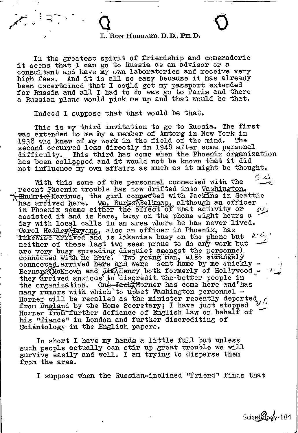## $\mathbf{Q}$ L. Rom HUBBARD, D.D.. PH. D.

In the greatest spirit of friendship and comeraderie it seems that I can go to Russia as an advisor or a consultant and have my own laboratories and receive very high fees. And it is all so easy because it has already been ascertained that I could get my passport extended for Russia and all I had to do was go to Paris and there a Russian plane would pick me up and that would be that.

Indeed I suppose that that would be that.

This is my third invitation to go to Russia. The first was extended to me by a member of Amtorg in New York in 1938 who knew of my work in the field of the mind. The second occurred less directly in 1948 after some personal difficulty. This third has come when the Phoenix organization has been collppped and it would not be known that it did not influence my own affairs as much as it might be thought.

ا بند آ With this some of the personnel connected with the recent Phoenix trouble has now drifted into Washington.  $\pm$ Shukri $\alpha$ Marinus, the girl connected with Jackins in Seattle has arrived here. Wm. Burke Belknap, although an officer in Phoenix seems either the effect of that activity or  $\mathcal{I}_{i}$ . assisted it and is here, busy on the phone eight hours a day with local calls in an area where he has never lived. Carol Hadley Bryans, also an officer in Phoenix, has Threwise arrived and is likewise busy on the phone but  $P'$ . neither of these last two seem prone to do any work but are very busy spreading disquiet amongst the personnel rery bu<br>Ected w<br>Ected a<br>erd McK<br>errive<br>rganiz connected with me here. Two young men, also strangely connected arrived here and were sent home by me quickly  $-$ Bernard McKnown and Jim Henry both formerly of Hollywood they arrived anxious to disgredit the better people in the organization. One<del>, Jack H</del>orner has come here and has many rumors with which to upset Washington personnel -Horner will be recalled as the minister recently deported from England by the Home Secretary; I have just stopped Horner from further defiance of English law on behalf of his "fiance" in London and further discrediting of Scientology in the English papers.

In short I have my hands a little full but unless such people actually can stir up great trouble we will survive easily and well. I am trying to disperse them from the area.

I suppose when the Russian-inclined "friend" finds that

Scient Cody-184